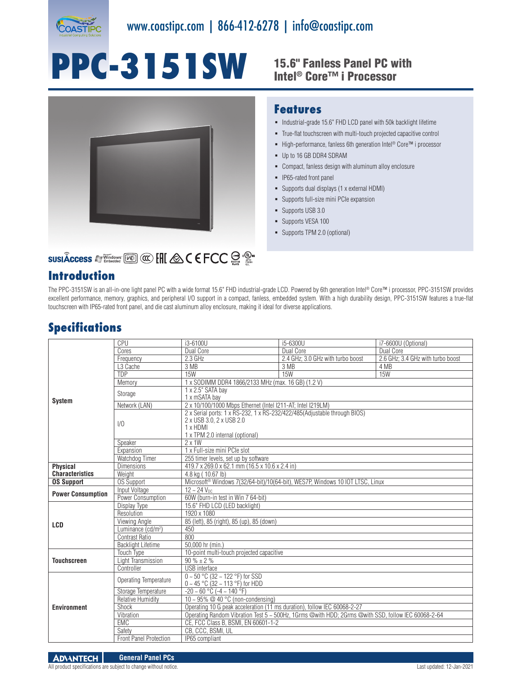

# **PPC-3151SW** 15.6" Fanless Panel PC with



## Intel® Core™ i Processor

#### **Features**

- $\blacksquare$  Industrial-grade 15.6" FHD LCD panel with 50k backlight lifetime
- True-flat touchscreen with multi-touch projected capacitive control
- High-performance, fanless 6th generation Intel<sup>®</sup> Core™ i processor
- Up to 16 GB DDR4 SDRAM
- Compact, fanless design with aluminum alloy enclosure
- **IP65-rated front panel**
- Supports dual displays (1 x external HDMI)
- Supports full-size mini PCIe expansion
- **Supports USB 3.0**
- Supports VESA 100
- Supports TPM 2.0 (optional)

### **SUSIÂCCESS A Vindows [KEER] CO. ENC. A C E FCC SOF CO.**

#### **Introduction**

The PPC-3151SW is an all-in-one light panel PC with a wide format 15.6" FHD industrial-grade LCD. Powered by 6th generation Intel® Core™ i processor, PPC-3151SW provides excellent performance, memory, graphics, and peripheral I/O support in a compact, fanless, embedded system. With a high durability design, PPC-3151SW features a true-flat touchscreen with IP65-rated front panel, and die cast aluminum alloy enclosure, making it ideal for diverse applications.

#### **Specifications**

| <b>System</b>            | CPU                            | i3-6100U                                                                                                                                             | i5-6300U                          | i7-6600U (Optional)               |  |
|--------------------------|--------------------------------|------------------------------------------------------------------------------------------------------------------------------------------------------|-----------------------------------|-----------------------------------|--|
|                          | Cores                          | Dual Core                                                                                                                                            | Dual Core                         | Dual Core                         |  |
|                          | Frequency                      | 2.3 GHz                                                                                                                                              | 2.4 GHz; 3.0 GHz with turbo boost | 2.6 GHz; 3.4 GHz with turbo boost |  |
|                          | L <sub>3</sub> Cache           | 3 MB                                                                                                                                                 | 3 MB                              | 4 MB                              |  |
|                          | <b>TDP</b>                     | <b>15W</b>                                                                                                                                           | 15W                               | 15W                               |  |
|                          | Memory                         | 1 x SODIMM DDR4 1866/2133 MHz (max. 16 GB) (1.2 V)                                                                                                   |                                   |                                   |  |
|                          | Storage                        | 1 x 2.5" SATA bay<br>1 x mSATA bay                                                                                                                   |                                   |                                   |  |
|                          | Network (LAN)                  | 2 x 10/100/1000 Mbps Ethernet (Intel I211-AT; Intel I219LM)                                                                                          |                                   |                                   |  |
|                          | 1/0                            | 2 x Serial ports: 1 x RS-232, 1 x RS-232/422/485(Adjustable through BIOS)<br>2 x USB 3.0, 2 x USB 2.0<br>1 x HDMI<br>1 x TPM 2.0 internal (optional) |                                   |                                   |  |
|                          | Speaker                        | $2 \times 1W$                                                                                                                                        |                                   |                                   |  |
|                          | Expansion                      | 1 x Full-size mini PCIe slot                                                                                                                         |                                   |                                   |  |
|                          | Watchdog Timer                 | 255 timer levels, set up by software                                                                                                                 |                                   |                                   |  |
| <b>Physical</b>          | <b>Dimensions</b>              | 419.7 x 269.0 x 62.1 mm (16.5 x 10.6 x 2.4 in)                                                                                                       |                                   |                                   |  |
| <b>Characteristics</b>   | Weight                         | 4.8 kg (10.67 lb)                                                                                                                                    |                                   |                                   |  |
| <b>OS Support</b>        | <b>OS Support</b>              | Microsoft <sup>®</sup> Windows 7(32/64-bit)/10(64-bit), WES7P, Windows 10 IOT LTSC, Linux                                                            |                                   |                                   |  |
| <b>Power Consumption</b> | Input Voltage                  | $12 - 24$ $V_{DC}$                                                                                                                                   |                                   |                                   |  |
|                          | Power Consumption              | 60W (burn-in test in Win 7 64-bit)                                                                                                                   |                                   |                                   |  |
| <b>LCD</b>               | Display Type                   | 15.6" FHD LCD (LED backlight)                                                                                                                        |                                   |                                   |  |
|                          | Resolution                     | 1920 x 1080                                                                                                                                          |                                   |                                   |  |
|                          | Viewing Angle                  | 85 (left), 85 (right), 85 (up), 85 (down)                                                                                                            |                                   |                                   |  |
|                          | Luminance (cd/m <sup>2</sup> ) | 450                                                                                                                                                  |                                   |                                   |  |
|                          | Contrast Ratio                 | 800                                                                                                                                                  |                                   |                                   |  |
|                          | <b>Backlight Lifetime</b>      | 50.000 hr (min.)                                                                                                                                     |                                   |                                   |  |
| <b>Touchscreen</b>       | <b>Touch Type</b>              | 10-point multi-touch projected capacitive                                                                                                            |                                   |                                   |  |
|                          | Light Transmission             | $90\% \pm 2\%$                                                                                                                                       |                                   |                                   |  |
|                          | Controller                     | <b>USB</b> interface                                                                                                                                 |                                   |                                   |  |
| <b>Environment</b>       | Operating Temperature          | $0 \sim 50$ °C (32 ~ 122 °F) for SSD<br>0 ~ 45 °C (32 ~ 113 °F) for HDD                                                                              |                                   |                                   |  |
|                          | Storage Temperature            | $-20 - 60 °C$ ( $-4 - 140 °F$ )                                                                                                                      |                                   |                                   |  |
|                          | Relative Humidity              | 10 ~ 95% @ 40 °C (non-condensing)                                                                                                                    |                                   |                                   |  |
|                          | Shock                          | Operating 10 G peak acceleration (11 ms duration), follow IEC 60068-2-27                                                                             |                                   |                                   |  |
|                          | Vibration                      | Operating Random Vibration Test 5 ~ 500Hz, 1Grms @with HDD; 2Grms @with SSD, follow IEC 60068-2-64                                                   |                                   |                                   |  |
|                          | <b>EMC</b>                     | CE. FCC Class B. BSMI. EN 60601-1-2                                                                                                                  |                                   |                                   |  |
|                          | Safety                         | CB, CCC, BSMI, UL                                                                                                                                    |                                   |                                   |  |
|                          | <b>Front Panel Protection</b>  | IP65 compliant                                                                                                                                       |                                   |                                   |  |

All product specifications are subject to change without notice. Last updated: 12-Jan-2021